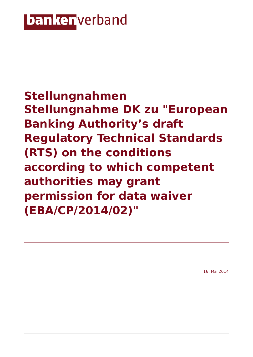## **banker** verband

**Stellungnahmen Stellungnahme DK zu "European Banking Authority's draft Regulatory Technical Standards (RTS) on the conditions according to which competent authorities may grant permission for data waiver (EBA/CP/2014/02)"**

16. Mai 2014